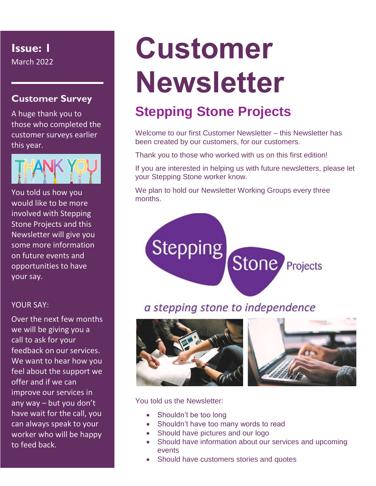**Issue: 1**

March 2022

#### **Customer Survey**

A huge thank you to those who completed the customer surveys earlier this year.



You told us how you would like to be more involved with Stepping Stone Projects and this Newsletter will give you some more information on future events and opportunities to have your say.

#### YOUR SAY:

Over the next few months we will be giving you a call to ask for your feedback on our services. We want to hear how you feel about the support we offer and if we can improve our services in any way – but you don't have wait for the call, you can always speak to your worker who will be happy to feed back.

## **Customer Newsletter**

## **Stepping Stone Projects**

Welcome to our first Customer Newsletter – this Newsletter has been created by our customers, for our customers.

Thank you to those who worked with us on this first edition!

If you are interested in helping us with future newsletters, please let your Stepping Stone worker know.

Stone

We plan to hold our Newsletter Working Groups every three months.

# a stepping stone to independence



Stepping



Projects

You told us the Newsletter:

- Shouldn't be too long
- Shouldn't have too many words to read
- Should have pictures and our logo
- Should have information about our services and upcoming events
- Should have customers stories and quotes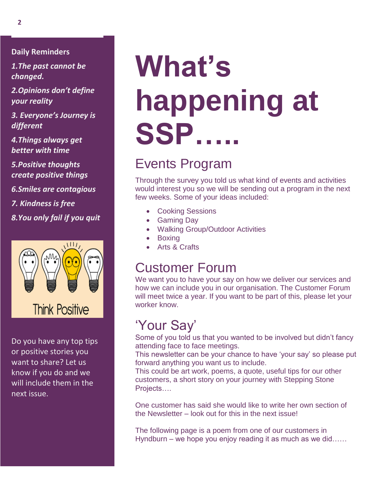**Daily Reminders**

*1.The past cannot be changed.*

*2.Opinions don't define your reality*

*3. Everyone's Journey is different*

*4.Things always get better with time*

*5.Positive thoughts create positive things*

*6.Smiles are contagious*

*7. Kindness is free*

*8.You only fail if you quit*



Do you have any top tips or positive stories you want to share? Let us know if you do and we will include them in the next issue.

# **What's happening at SSP…..**

## Events Program

Through the survey you told us what kind of events and activities would interest you so we will be sending out a program in the next few weeks. Some of your ideas included:

- Cooking Sessions
- Gaming Day
- Walking Group/Outdoor Activities
- Boxing
- Arts & Crafts

### Customer Forum

We want you to have your say on how we deliver our services and how we can include you in our organisation. The Customer Forum will meet twice a year. If you want to be part of this, please let your worker know.

### 'Your Say'

Some of you told us that you wanted to be involved but didn't fancy attending face to face meetings.

This newsletter can be your chance to have 'your say' so please put forward anything you want us to include.

This could be art work, poems, a quote, useful tips for our other customers, a short story on your journey with Stepping Stone Projects….

One customer has said she would like to write her own section of the Newsletter – look out for this in the next issue!

The following page is a poem from one of our customers in Hyndburn – we hope you enjoy reading it as much as we did……